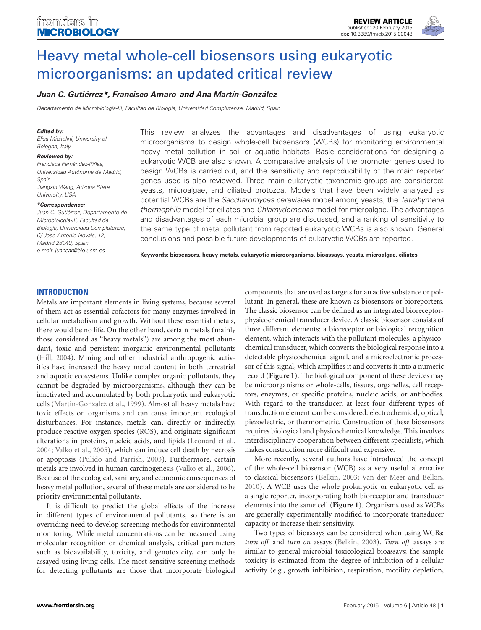

# [Heavy metal whole-cell biosensors using eukaryotic](http://www.frontiersin.org/Journal/10.3389/fmicb.2015.00048/abstract) [microorganisms: an updated critical review](http://www.frontiersin.org/Journal/10.3389/fmicb.2015.00048/abstract)

# **[Juan C. Gutiérrez\\*](http://community.frontiersin.org/people/u/39840), [Francisco Amaro](http://community.frontiersin.org/people/u/195845) and [Ana Martín-González](http://community.frontiersin.org/people/u/206046)**

Departamento de Microbiología-III, Facultad de Biología, Universidad Complutense, Madrid, Spain

#### **Edited by:**

Elisa Michelini, University of Bologna, Italy

**Reviewed by:**

Francisca Fernández-Piñas, Universidad Autónoma de Madrid, **Spain** Jiangxin Wang, Arizona State University, USA

#### **\*Correspondence:**

Juan C. Gutiérrez, Departamento de Microbiología-III, Facultad de Biología, Universidad Complutense, C/ José Antonio Novais, 12, Madrid 28040, Spain e-mail: [juancar@bio.ucm.es](mailto:juancar@bio.ucm.es)

This review analyzes the advantages and disadvantages of using eukaryotic microorganisms to design whole-cell biosensors (WCBs) for monitoring environmental heavy metal pollution in soil or aquatic habitats. Basic considerations for designing a eukaryotic WCB are also shown. A comparative analysis of the promoter genes used to design WCBs is carried out, and the sensitivity and reproducibility of the main reporter genes used is also reviewed. Three main eukaryotic taxonomic groups are considered: yeasts, microalgae, and ciliated protozoa. Models that have been widely analyzed as potential WCBs are the Saccharomyces cerevisiae model among yeasts, the Tetrahymena thermophila model for ciliates and *Chlamydomonas* model for microalgae. The advantages and disadvantages of each microbial group are discussed, and a ranking of sensitivity to the same type of metal pollutant from reported eukaryotic WCBs is also shown. General conclusions and possible future developments of eukaryotic WCBs are reported.

**Keywords: biosensors, heavy metals, eukaryotic microorganisms, bioassays, yeasts, microalgae, ciliates**

## **INTRODUCTION**

Metals are important elements in living systems, because several of them act as essential cofactors for many enzymes involved in cellular metabolism and growth. Without these essential metals, there would be no life. On the other hand, certain metals (mainly those considered as "heavy metals") are among the most abundant, toxic and persistent inorganic environmental pollutants [\(Hill, 2004\)](#page-6-0). Mining and other industrial anthropogenic activities have increased the heavy metal content in both terrestrial and aquatic ecosystems. Unlike complex organic pollutants, they cannot be degraded by microorganisms, although they can be inactivated and accumulated by both prokaryotic and eukaryotic cells [\(Martin-Gonzalez et al., 1999\)](#page-6-1). Almost all heavy metals have toxic effects on organisms and can cause important ecological disturbances. For instance, metals can, directly or indirectly, produce reactive oxygen species (ROS), and originate significant alterations in proteins, nucleic acids, and lipids [\(Leonard et al.,](#page-6-2) [2004;](#page-6-2) [Valko et al., 2005\)](#page-7-0), which can induce cell death by necrosis or apoptosis [\(Pulido and Parrish, 2003\)](#page-6-3). Furthermore, certain metals are involved in human carcinogenesis [\(Valko et al., 2006\)](#page-7-1). Because of the ecological, sanitary, and economic consequences of heavy metal pollution, several of these metals are considered to be priority environmental pollutants.

It is difficult to predict the global effects of the increase in different types of environmental pollutants, so there is an overriding need to develop screening methods for environmental monitoring. While metal concentrations can be measured using molecular recognition or chemical analysis, critical parameters such as bioavailability, toxicity, and genotoxicity, can only be assayed using living cells. The most sensitive screening methods for detecting pollutants are those that incorporate biological

components that are used as targets for an active substance or pollutant. In general, these are known as biosensors or bioreporters. The classic biosensor can be defined as an integrated bioreceptorphysicochemical transducer device. A classic biosensor consists of three different elements: a bioreceptor or biological recognition element, which interacts with the pollutant molecules, a physicochemical transducer, which converts the biological response into a detectable physicochemical signal, and a microelectronic processor of this signal, which amplifies it and converts it into a numeric record (**[Figure 1](#page-1-0)**). The biological component of these devices may be microorganisms or whole-cells, tissues, organelles, cell receptors, enzymes, or specific proteins, nucleic acids, or antibodies. With regard to the transducer, at least four different types of transduction element can be considered: electrochemical, optical, piezoelectric, or thermometric. Construction of these biosensors requires biological and physicochemical knowledge. This involves interdisciplinary cooperation between different specialists, which makes construction more difficult and expensive.

More recently, several authors have introduced the concept of the whole-cell biosensor (WCB) as a very useful alternative to classical biosensors [\(Belkin, 2003;](#page-6-4) [Van der Meer and Belkin,](#page-7-2) [2010\)](#page-7-2). A WCB uses the whole prokaryotic or eukaryotic cell as a single reporter, incorporating both bioreceptor and transducer elements into the same cell (**[Figure 1](#page-1-0)**). Organisms used as WCBs are generally experimentally modified to incorporate transducer capacity or increase their sensitivity.

Two types of bioassays can be considered when using WCBs: *turn off* and *turn on* assays [\(Belkin, 2003\)](#page-6-4). *Turn off* assays are similar to general microbial toxicological bioassays; the sample toxicity is estimated from the degree of inhibition of a cellular activity (e.g., growth inhibition, respiration, motility depletion,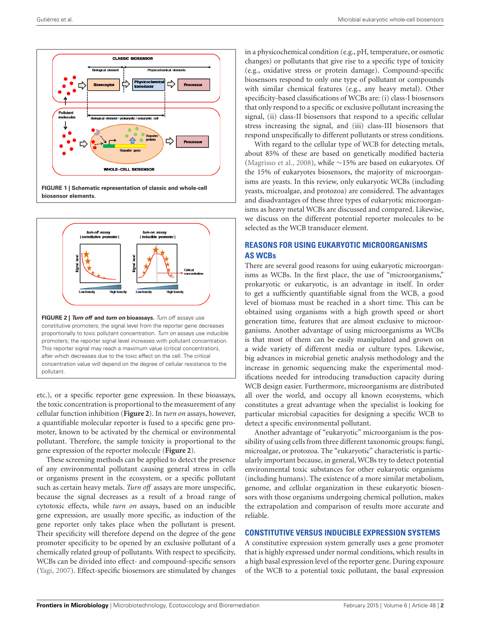

<span id="page-1-0"></span>**FIGURE 1 | Schematic representation of classic and whole-cell biosensor elements.**



<span id="page-1-1"></span>etc.), or a specific reporter gene expression. In these bioassays, the toxic concentration is proportional to the measurement of any cellular function inhibition (**[Figure 2](#page-1-1)**). In *turn on* assays, however, a quantifiable molecular reporter is fused to a specific gene promoter, known to be activated by the chemical or environmental pollutant. Therefore, the sample toxicity is proportional to the gene expression of the reporter molecule (**[Figure 2](#page-1-1)**).

These screening methods can be applied to detect the presence of any environmental pollutant causing general stress in cells or organisms present in the ecosystem, or a specific pollutant such as certain heavy metals. *Turn off* assays are more unspecific, because the signal decreases as a result of a broad range of cytotoxic effects, while *turn on* assays, based on an inducible gene expression, are usually more specific, as induction of the gene reporter only takes place when the pollutant is present. Their specificity will therefore depend on the degree of the gene promoter specificity to be opened by an exclusive pollutant of a chemically related group of pollutants. With respect to specificity, WCBs can be divided into effect- and compound-specific sensors [\(Yagi,](#page-7-3) [2007\)](#page-7-3). Effect-specific biosensors are stimulated by changes

in a physicochemical condition (e.g., pH, temperature, or osmotic changes) or pollutants that give rise to a specific type of toxicity (e.g., oxidative stress or protein damage). Compound-specific biosensors respond to only one type of pollutant or compounds with similar chemical features (e.g., any heavy metal). Other specificity-based classifications of WCBs are: (i) class-I biosensors that only respond to a specific or exclusive pollutant increasing the signal, (ii) class-II biosensors that respond to a specific cellular stress increasing the signal, and (iii) class-III biosensors that respond unspecifically to different pollutants or stress conditions.

With regard to the cellular type of WCB for detecting metals, about 85% of these are based on genetically modified bacteria [\(Magrisso et al.,](#page-6-5) [2008\)](#page-6-5), while ∼15% are based on eukaryotes. Of the 15% of eukaryotes biosensors, the majority of microorganisms are yeasts. In this review, only eukaryotic WCBs (including yeasts, microalgae, and protozoa) are considered. The advantages and disadvantages of these three types of eukaryotic microorganisms as heavy metal WCBs are discussed and compared. Likewise, we discuss on the different potential reporter molecules to be selected as the WCB transducer element.

# **REASONS FOR USING EUKARYOTIC MICROORGANISMS AS WCBs**

There are several good reasons for using eukaryotic microorganisms as WCBs. In the first place, the use of "microorganisms," prokaryotic or eukaryotic, is an advantage in itself. In order to get a sufficiently quantifiable signal from the WCB, a good level of biomass must be reached in a short time. This can be obtained using organisms with a high growth speed or short generation time, features that are almost exclusive to microorganisms. Another advantage of using microorganisms as WCBs is that most of them can be easily manipulated and grown on a wide variety of different media or culture types. Likewise, big advances in microbial genetic analysis methodology and the increase in genomic sequencing make the experimental modifications needed for introducing transduction capacity during WCB design easier. Furthermore, microorganisms are distributed all over the world, and occupy all known ecosystems, which constitutes a great advantage when the specialist is looking for particular microbial capacities for designing a specific WCB to detect a specific environmental pollutant.

Another advantage of "eukaryotic" microorganism is the possibility of using cells from three different taxonomic groups: fungi, microalgae, or protozoa. The "eukaryotic" characteristic is particularly important because, in general, WCBs try to detect potential environmental toxic substances for other eukaryotic organisms (including humans). The existence of a more similar metabolism, genome, and cellular organization in these eukaryotic biosensors with those organisms undergoing chemical pollution, makes the extrapolation and comparison of results more accurate and reliable.

#### **CONSTITUTIVE VERSUS INDUCIBLE EXPRESSION SYSTEMS**

A constitutive expression system generally uses a gene promoter that is highly expressed under normal conditions, which results in a high basal expression level of the reporter gene. During exposure of the WCB to a potential toxic pollutant, the basal expression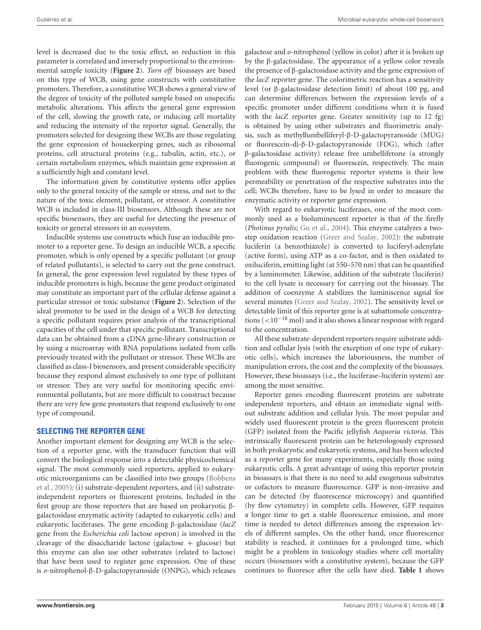level is decreased due to the toxic effect, so reduction in this parameter is correlated and inversely proportional to the environmental sample toxicity (**[Figure 2](#page-1-1)**). *Turn off* bioassays are based on this type of WCB, using gene constructs with constitutive promoters. Therefore, a constitutive WCB shows a general view of the degree of toxicity of the polluted sample based on unspecific metabolic alterations. This affects the general gene expression of the cell, slowing the growth rate, or inducing cell mortality and reducing the intensity of the reporter signal. Generally, the promoters selected for designing these WCBs are those regulating the gene expression of housekeeping genes, such as ribosomal proteins, cell structural proteins (e.g., tubulin, actin, etc.), or certain metabolism enzymes, which maintain gene expression at a sufficiently high and constant level.

The information given by constitutive systems offer applies only to the general toxicity of the sample or stress, and not to the nature of the toxic element, pollutant, or stressor. A constitutive WCB is included in class-III biosensors. Although these are not specific biosensors, they are useful for detecting the presence of toxicity or general stressors in an ecosystem.

Inducible systems use constructs which fuse an inducible promoter to a reporter gene. To design an inducible WCB, a specific promoter, which is only opened by a specific pollutant (or group of related pollutants), is selected to carry out the gene construct. In general, the gene expression level regulated by these types of inducible promoters is high, because the gene product originated may constitute an important part of the cellular defense against a particular stressor or toxic substance (**[Figure 2](#page-1-1)**). Selection of the ideal promoter to be used in the design of a WCB for detecting a specific pollutant requires prior analysis of the transcriptional capacities of the cell under that specific pollutant. Transcriptional data can be obtained from a cDNA gene-library construction or by using a microarray with RNA populations isolated from cells previously treated with the pollutant or stressor. These WCBs are classified as class-I biosensors, and present considerable specificity because they respond almost exclusively to one type of pollutant or stressor. They are very useful for monitoring specific environmental pollutants, but are more difficult to construct because there are very few gene promoters that respond exclusively to one type of compound.

## **SELECTING THE REPORTER GENE**

Another important element for designing any WCB is the selection of a reporter gene, with the transducer function that will convert the biological response into a detectable physicochemical signal. The most commonly used reporters, applied to eukaryotic microorganisms can be classified into two groups [\(Robbens](#page-6-6) [et al.,](#page-6-6) [2005\)](#page-6-6): (i) substrate-dependent reporters, and (ii) substrateindependent reporters or fluorescent proteins. Included in the first group are those reporters that are based on prokaryotic βgalactosidase enzymatic activity (adapted to eukaryotic cells) and eukaryotic luciferases. The gene encoding β-galactosidase (*lacZ* gene from the *Escherichia coli* lactose operon) is involved in the cleavage of the disaccharide lactose (galactose  $+$  glucose) but this enzyme can also use other substrates (related to lactose) that have been used to register gene expression. One of these is *o*-nitrophenol-β-D-galactopyranoside (ONPG), which releases

galactose and *o*-nitrophenol (yellow in color) after it is broken up by the β-galactosidase. The appearance of a yellow color reveals the presence of β-galactosidase activity and the gene expression of the *lacZ* reporter gene. The colorimetric reaction has a sensitivity level (or β-galactosidase detection limit) of about 100 pg, and can determine differences between the expression levels of a specific promoter under different conditions when it is fused with the *lacZ* reporter gene. Greater sensitivity (up to 12 fg) is obtained by using other substrates and fluorimetric analysis, such as methyllumbelliferyl-β-D-galactopyranoside (MUG) or fluorescein-di-β-D-galactopyranoside (FDG), which (after β-galactosidase activity) release free umbelliferone (a strongly fluorogenic compound) or fluorescein, respectively. The main problem with these fluorogenic reporter systems is their low permeability or penetration of the respective substrates into the cell; WCBs therefore, have to be lysed in order to measure the enzymatic activity or reporter gene expression.

With regard to eukaryotic luciferases, one of the most commonly used as a bioluminescent reporter is that of the firefly (*Photinus pyralis*; [Gu et al.,](#page-6-7) [2004\)](#page-6-7). This enzyme catalyzes a twostep oxidation reaction [\(Greer and Szalay,](#page-6-8) [2002\)](#page-6-8): the substrate luciferin (a benzothiazole) is converted to luciferyl-adenylate (active form), using ATP as a co-factor, and is then oxidated to oxiluciferin, emitting light (at 550–570 nm) that can be quantified by a luminometer. Likewise, addition of the substrate (luciferin) to the cell lysate is necessary for carrying out the bioassay. The addition of coenzyme A stabilizes the luminiscence signal for several minutes [\(Greer and Szalay,](#page-6-8) [2002\)](#page-6-8). The sensitivity level or detectable limit of this reporter gene is at subattomole concentrations (<10−<sup>18</sup> mol) and it also shows a linear response with regard to the concentration.

All these substrate-dependent reporters require substrate addition and cellular lysis (with the exception of one type of eukaryotic cells), which increases the laboriousness, the number of manipulation errors, the cost and the complexity of the bioassays. However, these bioassays (i.e., the luciferase–luciferin system) are among the most sensitive.

Reporter genes encoding fluorescent proteins are substrate independent reporters, and obtain an immediate signal without substrate addition and cellular lysis. The most popular and widely used fluorescent protein is the green fluorescent protein (GFP) isolated from the Pacific jellyfish *Aequoria victoria*. This intrinsically fluorescent protein can be heterologously expressed in both prokaryotic and eukaryotic systems, and has been selected as a reporter gene for many experiments, especially those using eukaryotic cells. A great advantage of using this reporter protein in bioassays is that there is no need to add exogenous substrates or cofactors to measure fluorescence. GFP is non-invasive and can be detected (by fluorescence microscopy) and quantified (by flow cytometry) in complete cells. However, GFP requires a longer time to get a stable fluorescence emission, and more time is needed to detect differences among the expression levels of different samples. On the other hand, once fluorescence stability is reached, it continues for a prolonged time, which might be a problem in toxicology studies where cell mortality occurs (biosensors with a constitutive system), because the GFP continues to fluoresce after the cells have died. **[Table 1](#page-3-0)** shows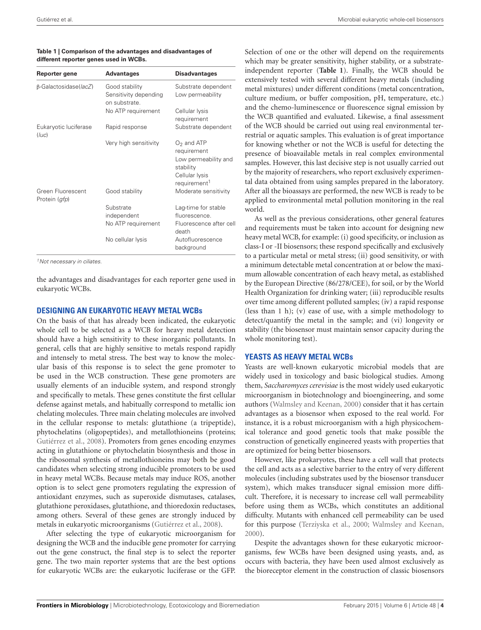#### <span id="page-3-0"></span>**Table 1 | Comparison of the advantages and disadvantages of different reporter genes used in WCBs.**

| Reporter gene                      | <b>Advantages</b>                                        | <b>Disadvantages</b>                                                                                           |
|------------------------------------|----------------------------------------------------------|----------------------------------------------------------------------------------------------------------------|
| β-Galactosidase(lacZ)              | Good stability<br>Sensitivity depending<br>on substrate. | Substrate dependent<br>Low permeability                                                                        |
|                                    | No ATP requirement                                       | Cellular Iysis<br>requirement                                                                                  |
| Eukaryotic luciferase<br>(luc)     | Rapid response                                           | Substrate dependent                                                                                            |
|                                    | Very high sensitivity                                    | $O2$ and ATP<br>requirement<br>Low permeability and<br>stability<br>Cellular Iysis<br>requirement <sup>1</sup> |
| Green Fluorescent<br>Protein (gfp) | Good stability                                           | Moderate sensitivity                                                                                           |
|                                    | Substrate<br>independent<br>No ATP requirement           | Lag-time for stable<br>fluorescence.<br>Fluorescence after cell<br>death                                       |
|                                    | No cellular lysis                                        | Autofluorescence<br>background                                                                                 |

<sup>1</sup>Not necessary in ciliates.

the advantages and disadvantages for each reporter gene used in eukaryotic WCBs.

#### **DESIGNING AN EUKARYOTIC HEAVY METAL WCBs**

On the basis of that has already been indicated, the eukaryotic whole cell to be selected as a WCB for heavy metal detection should have a high sensitivity to these inorganic pollutants. In general, cells that are highly sensitive to metals respond rapidly and intensely to metal stress. The best way to know the molecular basis of this response is to select the gene promoter to be used in the WCB construction. These gene promoters are usually elements of an inducible system, and respond strongly and specifically to metals. These genes constitute the first cellular defense against metals, and habitually correspond to metallic ion chelating molecules. Three main chelating molecules are involved in the cellular response to metals: glutathione (a tripeptide), phytochelatins (oligopeptides), and metallothioneins (proteins; [Gutiérrez et al.,](#page-6-9) [2008\)](#page-6-9). Promoters from genes encoding enzymes acting in glutathione or phytochelatin biosynthesis and those in the ribosomal synthesis of metallothioneins may both be good candidates when selecting strong inducible promoters to be used in heavy metal WCBs. Because metals may induce ROS, another option is to select gene promoters regulating the expression of antioxidant enzymes, such as superoxide dismutases, catalases, glutathione peroxidases, glutathione, and thioredoxin reductases, among others. Several of these genes are strongly induced by metals in eukaryotic microorganisms [\(Gutiérrez et al.,](#page-6-9) [2008\)](#page-6-9).

After selecting the type of eukaryotic microorganism for designing the WCB and the inducible gene promoter for carrying out the gene construct, the final step is to select the reporter gene. The two main reporter systems that are the best options for eukaryotic WCBs are: the eukaryotic luciferase or the GFP.

Selection of one or the other will depend on the requirements which may be greater sensitivity, higher stability, or a substrateindependent reporter (**[Table 1](#page-3-0)**). Finally, the WCB should be extensively tested with several different heavy metals (including metal mixtures) under different conditions (metal concentration, culture medium, or buffer composition, pH, temperature, etc.) and the chemo-luminescence or fluorescence signal emission by the WCB quantified and evaluated. Likewise, a final assessment of the WCB should be carried out using real environmental terrestrial or aquatic samples. This evaluation is of great importance for knowing whether or not the WCB is useful for detecting the presence of bioavailable metals in real complex environmental samples. However, this last decisive step is not usually carried out by the majority of researchers, who report exclusively experimental data obtained from using samples prepared in the laboratory. After all the bioassays are performed, the new WCB is ready to be applied to environmental metal pollution monitoring in the real world.

As well as the previous considerations, other general features and requirements must be taken into account for designing new heavy metal WCB, for example: (i) good specificity, or inclusion as class-I or -II biosensors; these respond specifically and exclusively to a particular metal or metal stress; (ii) good sensitivity, or with a minimum detectable metal concentration at or below the maximum allowable concentration of each heavy metal, as established by the European Directive (86/278/CEE), for soil, or by the World Health Organization for drinking water; (iii) reproducible results over time among different polluted samples; (iv) a rapid response (less than 1 h); (v) ease of use, with a simple methodology to detect/quantify the metal in the sample; and (vi) longevity or stability (the biosensor must maintain sensor capacity during the whole monitoring test).

## **YEASTS AS HEAVY METAL WCBs**

Yeasts are well-known eukaryotic microbial models that are widely used in toxicology and basic biological studies. Among them, *Saccharomyces cerevisiae* is the most widely used eukaryotic microorganism in biotechnology and bioengineering, and some authors [\(Walmsley and Keenan,](#page-7-4) [2000\)](#page-7-4) consider that it has certain advantages as a biosensor when exposed to the real world. For instance, it is a robust microorganism with a high physicochemical tolerance and good genetic tools that make possible the construction of genetically engineered yeasts with properties that are optimized for being better biosensors.

However, like prokaryotes, these have a cell wall that protects the cell and acts as a selective barrier to the entry of very different molecules (including substrates used by the biosensor transducer system), which makes transducer signal emission more difficult. Therefore, it is necessary to increase cell wall permeability before using them as WCBs, which constitutes an additional difficulty. Mutants with enhanced cell permeability can be used for this purpose [\(Terziyska et al.,](#page-7-5) [2000;](#page-7-5) [Walmsley and Keenan,](#page-7-4) [2000\)](#page-7-4).

Despite the advantages shown for these eukaryotic microorganisms, few WCBs have been designed using yeasts, and, as occurs with bacteria, they have been used almost exclusively as the bioreceptor element in the construction of classic biosensors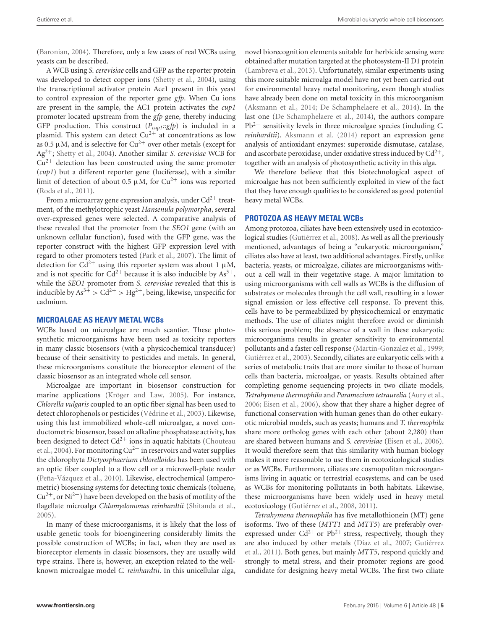[\(Baronian,](#page-6-10) [2004\)](#page-6-10). Therefore, only a few cases of real WCBs using yeasts can be described.

A WCB using *S. cerevisiae* cells and GFP as the reporter protein was developed to detect copper ions [\(Shetty et al.,](#page-6-11) [2004\)](#page-6-11), using the transcriptional activator protein Ace1 present in this yeast to control expression of the reporter gene *gfp*. When Cu ions are present in the sample, the AC1 protein activates the *cup1* promoter located upstream from the *gfp* gene, thereby inducing GFP production. This construct (*Pcup1::gfp*) is included in a plasmid. This system can detect  $Cu^{2+}$  at concentrations as low as 0.5  $\mu$ M, and is selective for Cu<sup>2+</sup> over other metals (except for Ag2+; [Shetty et al.,](#page-6-11) [2004\)](#page-6-11). Another similar *S. cerevisiae* WCB for  $Cu<sup>2+</sup>$  detection has been constructed using the same promoter (*cup1*) but a different reporter gene (luciferase), with a similar limit of detection of about 0.5  $\mu$ M, for Cu<sup>2+</sup> ions was reported [\(Roda et al.,](#page-6-12) [2011\)](#page-6-12).

From a microarray gene expression analysis, under  $Cd^{2+}$  treatment, of the methylotrophic yeast *Hansenula polymorpha*, several over-expressed genes were selected. A comparative analysis of these revealed that the promoter from the *SEO1* gene (with an unknown cellular function), fused with the GFP gene, was the reporter construct with the highest GFP expression level with regard to other promoters tested [\(Park et al.,](#page-6-13) [2007\)](#page-6-13). The limit of detection for Cd<sup>2+</sup> using this reporter system was about 1  $\mu$ M, and is not specific for  $Cd^{2+}$  because it is also inducible by  $As^{3+}$ , while the *SEO1* promoter from *S. cerevisiae* revealed that this is inducible by  $As^{3+} > Cd^{2+} > Hg^{2+}$ , being, likewise, unspecific for cadmium.

#### **MICROALGAE AS HEAVY METAL WCBs**

WCBs based on microalgae are much scantier. These photosynthetic microorganisms have been used as toxicity reporters in many classic biosensors (with a physicochemical transducer) because of their sensitivity to pesticides and metals. In general, these microorganisms constitute the bioreceptor element of the classic biosensor as an integrated whole cell sensor.

Microalgae are important in biosensor construction for marine applications [\(Kröger and Law,](#page-6-14) [2005\)](#page-6-14). For instance, *Chlorella vulgaris* coupled to an optic fiber signal has been used to detect chlorophenols or pesticides [\(Védrine et al.,](#page-7-6) [2003\)](#page-7-6). Likewise, using this last immobilized whole-cell microalgae, a novel conductometric biosensor, based on alkaline phosphatase activity, has been designed to detect  $Cd^{2+}$  ions in aquatic habitats [\(Chouteau](#page-6-15) [et al.,](#page-6-15) [2004\)](#page-6-15). For monitoring  $Cu^{2+}$  in reservoirs and water supplies the chlorophyta *Dictyosphaerium chlorelloides* has been used with an optic fiber coupled to a flow cell or a microwell-plate reader [\(Peña-Vázquez et al.,](#page-6-16) [2010\)](#page-6-16). Likewise, electrochemical (amperometric) biosensing systems for detecting toxic chemicals (toluene,  $Cu^{2+}$ , or Ni<sup>2+</sup>) have been developed on the basis of motility of the flagellate microalga *Chlamydomonas reinhardtii* [\(Shitanda et al.,](#page-7-7) [2005\)](#page-7-7).

In many of these microorganisms, it is likely that the loss of usable genetic tools for bioengineering considerably limits the possible construction of WCBs; in fact, when they are used as bioreceptor elements in classic biosensors, they are usually wild type strains. There is, however, an exception related to the wellknown microalgae model *C. reinhardtii*. In this unicellular alga,

novel biorecognition elements suitable for herbicide sensing were obtained after mutation targeted at the photosystem-II D1 protein [\(Lambreva et al.,](#page-6-17) [2013\)](#page-6-17). Unfortunately, similar experiments using this more suitable microalga model have not yet been carried out for environmental heavy metal monitoring, even though studies have already been done on metal toxicity in this microorganism [\(Aksmann et al.,](#page-6-18) [2014;](#page-6-18) [De Schamphelaere et al.,](#page-6-19) [2014\)](#page-6-19). In the last one [\(De Schamphelaere et al.,](#page-6-19) [2014\)](#page-6-19), the authors compare Pb2<sup>+</sup> sensitivity levels in three microalgae species (including *C. reinhardtii*). [Aksmann et al.](#page-6-18) [\(2014\)](#page-6-18) report an expression gene analysis of antioxidant enzymes: superoxide dismutase, catalase, and ascorbate peroxidase, under oxidative stress induced by  $Cd^{2+}$ , together with an analysis of photosynthetic activity in this alga.

We therefore believe that this biotechnological aspect of microalgae has not been sufficiently exploited in view of the fact that they have enough qualities to be considered as good potential heavy metal WCBs.

#### **PROTOZOA AS HEAVY METAL WCBs**

Among protozoa, ciliates have been extensively used in ecotoxicological studies [\(Gutiérrez et al.,](#page-6-9) [2008\)](#page-6-9). As well as all the previously mentioned, advantages of being a "eukaryotic microorganism," ciliates also have at least, two additional advantages. Firstly, unlike bacteria, yeasts, or microalgae, ciliates are microorganisms without a cell wall in their vegetative stage. A major limitation to using microorganisms with cell walls as WCBs is the diffusion of substrates or molecules through the cell wall, resulting in a lower signal emission or less effective cell response. To prevent this, cells have to be permeabilized by physicochemical or enzymatic methods. The use of ciliates might therefore avoid or diminish this serious problem; the absence of a wall in these eukaryotic microorganisms results in greater sensitivity to environmental pollutants and a faster cell response [\(Martin-Gonzalez et al.,](#page-6-1) [1999;](#page-6-1) [Gutiérrez et al.,](#page-6-20) [2003\)](#page-6-20). Secondly, ciliates are eukaryotic cells with a series of metabolic traits that are more similar to those of human cells than bacteria, microalgae, or yeasts. Results obtained after completing genome sequencing projects in two ciliate models, *Tetrahymena thermophila* and *Paramecium tetraurelia* [\(Aury et al.,](#page-6-21) [2006;](#page-6-21) [Eisen et al.,](#page-6-22) [2006\)](#page-6-22), show that they share a higher degree of functional conservation with human genes than do other eukaryotic microbial models, such as yeasts; humans and *T. thermophila* share more ortholog genes with each other (about 2,280) than are shared between humans and *S. cerevisiae* [\(Eisen et al.,](#page-6-22) [2006\)](#page-6-22). It would therefore seem that this similarity with human biology makes it more reasonable to use them in ecotoxicological studies or as WCBs. Furthermore, ciliates are cosmopolitan microorganisms living in aquatic or terrestrial ecosystems, and can be used as WCBs for monitoring pollutants in both habitats. Likewise, these microorganisms have been widely used in heavy metal ecotoxicology [\(Gutiérrez et al.,](#page-6-9) [2008,](#page-6-9) [2011\)](#page-6-23).

*Tetrahymena thermophila* has five metallothionein (MT) gene isoforms. Two of these (*MTT1* and *MTT5*) are preferably overexpressed under  $Cd^{2+}$  or Pb<sup>2+</sup> stress, respectively, though they are also induced by other metals [\(Díaz et al.,](#page-6-24) [2007;](#page-6-24) [Gutiérrez](#page-6-23) [et al.,](#page-6-23) [2011\)](#page-6-23). Both genes, but mainly *MTT5*, respond quickly and strongly to metal stress, and their promoter regions are good candidate for designing heavy metal WCBs. The first two ciliate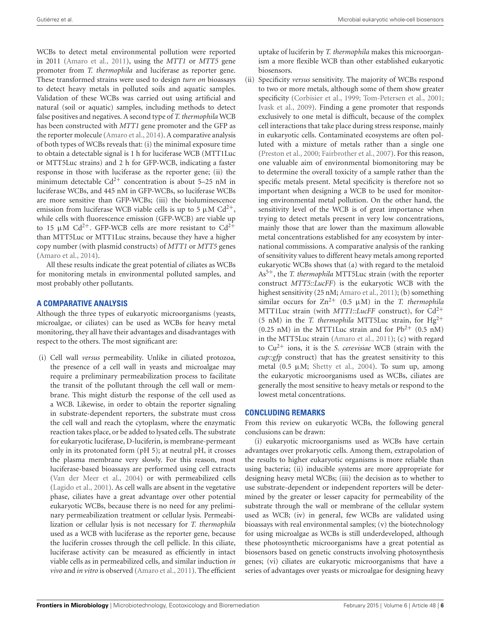WCBs to detect metal environmental pollution were reported in 2011 [\(Amaro et al.,](#page-6-25) [2011\)](#page-6-25), using the *MTT1* or *MTT5* gene promoter from *T. thermophila* and luciferase as reporter gene. These transformed strains were used to design *turn on* bioassays to detect heavy metals in polluted soils and aquatic samples. Validation of these WCBs was carried out using artificial and natural (soil or aquatic) samples, including methods to detect false positives and negatives. A second type of *T. thermophila* WCB has been constructed with *MTT1* gene promoter and the GFP as the reporter molecule [\(Amaro et al.,](#page-6-26) [2014\)](#page-6-26). A comparative analysis of both types of WCBs reveals that: (i) the minimal exposure time to obtain a detectable signal is 1 h for luciferase WCB (MTT1Luc or MTT5Luc strains) and 2 h for GFP-WCB, indicating a faster response in those with luciferase as the reporter gene; (ii) the minimum detectable  $Cd^{2+}$  concentration is about 5–25 nM in luciferase WCBs, and 445 nM in GFP-WCBs, so luciferase WCBs are more sensitive than GFP-WCBs; (iii) the bioluminescence emission from luciferase WCB viable cells is up to 5  $\mu$ M Cd<sup>2+</sup>, while cells with fluorescence emission (GFP-WCB) are viable up to 15  $\mu$ M Cd<sup>2+</sup>. GFP-WCB cells are more resistant to Cd<sup>2+</sup> than MTT5Luc or MTT1Luc strains, because they have a higher copy number (with plasmid constructs) of *MTT1* or *MTT5* genes [\(Amaro et al.,](#page-6-26) [2014\)](#page-6-26).

All these results indicate the great potential of ciliates as WCBs for monitoring metals in environmental polluted samples, and most probably other pollutants.

# **A COMPARATIVE ANALYSIS**

Although the three types of eukaryotic microorganisms (yeasts, microalgae, or ciliates) can be used as WCBs for heavy metal monitoring, they all have their advantages and disadvantages with respect to the others. The most significant are:

(i) Cell wall *versus* permeability. Unlike in ciliated protozoa, the presence of a cell wall in yeasts and microalgae may require a preliminary permeabilization process to facilitate the transit of the pollutant through the cell wall or membrane. This might disturb the response of the cell used as a WCB. Likewise, in order to obtain the reporter signaling in substrate-dependent reporters, the substrate must cross the cell wall and reach the cytoplasm, where the enzymatic reaction takes place, or be added to lysated cells. The substrate for eukaryotic luciferase, D-luciferin, is membrane-permeant only in its protonated form (pH 5); at neutral pH, it crosses the plasma membrane very slowly. For this reason, most luciferase-based bioassays are performed using cell extracts [\(Van der Meer et al.,](#page-7-8) [2004\)](#page-7-8) or with permeabilized cells [\(Lagido et al.,](#page-6-27) [2001\)](#page-6-27). As cell walls are absent in the vegetative phase, ciliates have a great advantage over other potential eukaryotic WCBs, because there is no need for any preliminary permeabilization treatment or cellular lysis. Permeabilization or cellular lysis is not necessary for *T. thermophila* used as a WCB with luciferase as the reporter gene, because the luciferin crosses through the cell pellicle. In this ciliate, luciferase activity can be measured as efficiently in intact viable cells as in permeabilized cells, and similar induction *in vivo* and *in vitro* is observed [\(Amaro et al.,](#page-6-25) [2011\)](#page-6-25). The efficient

uptake of luciferin by *T. thermophila* makes this microorganism a more flexible WCB than other established eukaryotic biosensors.

(ii) Specificity *versus* sensitivity. The majority of WCBs respond to two or more metals, although some of them show greater specificity [\(Corbisier et al.,](#page-6-28) [1999;](#page-6-28) [Tom-Petersen et al.,](#page-7-9) [2001;](#page-7-9) [Ivask et al.,](#page-6-29) [2009\)](#page-6-29). Finding a gene promoter that responds exclusively to one metal is difficult, because of the complex cell interactions that take place during stress response, mainly in eukaryotic cells. Contaminated ecosystems are often polluted with a mixture of metals rather than a single one [\(Preston et al.,](#page-6-30) [2000;](#page-6-30) [Fairbrother et al.,](#page-6-31) [2007\)](#page-6-31). For this reason, one valuable aim of environmental biomonitoring may be to determine the overall toxicity of a sample rather than the specific metals present. Metal specificity is therefore not so important when designing a WCB to be used for monitoring environmental metal pollution. On the other hand, the sensitivity level of the WCB is of great importance when trying to detect metals present in very low concentrations, mainly those that are lower than the maximum allowable metal concentrations established for any ecosystem by international commissions. A comparative analysis of the ranking of sensitivity values to different heavy metals among reported eukaryotic WCBs shows that (a) with regard to the metaloid As5+, the *T. thermophila* MTT5Luc strain (with the reporter construct *MTT5::LucFF*) is the eukaryotic WCB with the highest sensitivity (25 nM; [Amaro et al.,](#page-6-25) [2011\)](#page-6-25); (b) something similar occurs for  $\text{Zn}^{2+}$  (0.5  $\mu$ M) in the *T. thermophila* MTT1Luc strain (with *MTT1::LucFF* construct), for Cd<sup>2+</sup> (5 nM) in the *T. thermophila* MTT5Luc strain, for  $Hg^{2+}$  $(0.25 \text{ nM})$  in the MTT1Luc strain and for Pb<sup>2+</sup>  $(0.5 \text{ nM})$ in the MTT5Luc strain [\(Amaro et al.,](#page-6-25) [2011\)](#page-6-25); (c) with regard to Cu2<sup>+</sup> ions, it is the *S. cerevisiae* WCB (strain with the *cup::gfp* construct) that has the greatest sensitivity to this metal (0.5  $\mu$ M; [Shetty et al.,](#page-6-11) [2004\)](#page-6-11). To sum up, among the eukaryotic microorganisms used as WCBs, ciliates are generally the most sensitive to heavy metals or respond to the lowest metal concentrations.

## **CONCLUDING REMARKS**

From this review on eukaryotic WCBs, the following general conclusions can be drawn:

(i) eukaryotic microorganisms used as WCBs have certain advantages over prokaryotic cells. Among them, extrapolation of the results to higher eukaryotic organisms is more reliable than using bacteria; (ii) inducible systems are more appropriate for designing heavy metal WCBs; (iii) the decision as to whether to use substrate-dependent or independent reporters will be determined by the greater or lesser capacity for permeability of the substrate through the wall or membrane of the cellular system used as WCB; (iv) in general, few WCBs are validated using bioassays with real environmental samples; (v) the biotechnology for using microalgae as WCBs is still underdeveloped, although these photosynthetic microorganisms have a great potential as biosensors based on genetic constructs involving photosynthesis genes; (vi) ciliates are eukaryotic microorganisms that have a series of advantages over yeasts or microalgae for designing heavy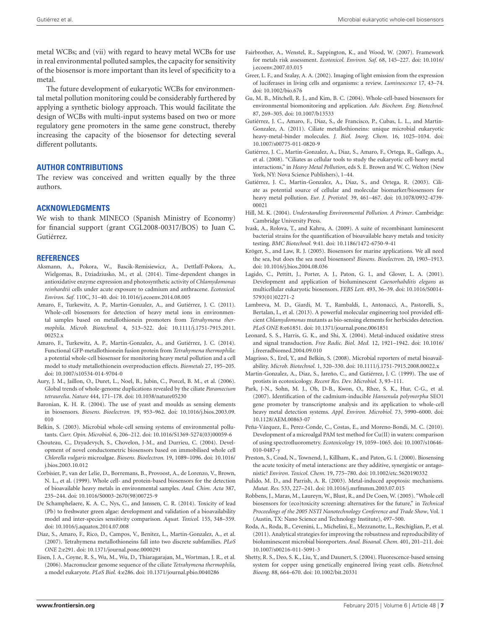metal WCBs; and (vii) with regard to heavy metal WCBs for use in real environmental polluted samples, the capacity for sensitivity of the biosensor is more important than its level of specificity to a metal.

The future development of eukaryotic WCBs for environmental metal pollution monitoring could be considerably furthered by applying a synthetic biology approach. This would facilitate the design of WCBs with multi-input systems based on two or more regulatory gene promoters in the same gene construct, thereby increasing the capacity of the biosensor for detecting several different pollutants.

#### **AUTHOR CONTRIBUTIONS**

The review was conceived and written equally by the three authors.

#### **ACKNOWLEDGMENTS**

We wish to thank MINECO (Spanish Ministry of Economy) for financial support (grant CGL2008-00317/BOS) to Juan C. Gutiérrez.

#### **REFERENCES**

- <span id="page-6-18"></span>Aksmann, A., Pokora, W., Bascik-Remisiewicz, A., Dettlaff-Pokora, A., Wielgomas, B., Dziadziusko, M., et al. (2014). Time-dependent changes in antioxidative enzyme expression and photosynthetic activity of *Chlamydomonas reinhardtii* cells under acute exposure to cadmium and anthracene. *Ecotoxicol. Environ. Saf.* 110C, 31–40. doi: 10.1016/j.ecoenv.2014.08.005
- <span id="page-6-25"></span>Amaro, F., Turkewitz, A. P., Martin-Gonzalez, A., and Gutiérrez, J. C. (2011). Whole-cell biosensors for detection of heavy metal ions in environmental samples based on metallothionein promoters from *Tetrahymena thermophila*. *Microb. Biotechnol.* 4, 513–522. doi: 10.1111/j.1751-7915.2011. 00252.x
- <span id="page-6-26"></span>Amaro, F., Turkewitz, A. P., Martin-Gonzalez, A., and Gutiérrez, J. C. (2014). Functional GFP-metallothionein fusion protein from *Tetrahymena thermophila*: a potential whole-cell biosensor for monitoring heavy metal pollution and a cell model to study metallothionein overproduction effects. *Biometals* 27, 195–205. doi: 10.1007/s10534-014-9704-0
- <span id="page-6-21"></span>Aury, J. M., Jaillon, O., Duret, L., Noel, B., Jubin, C., Porcel, B. M., et al. (2006). Global trends of whole-genome duplications revealed by the ciliate *Paramecium tetraurelia*. *Nature* 444, 171–178. doi: 10.1038/nature05230
- <span id="page-6-10"></span>Baronian, K. H. R. (2004). The use of yeast and moulds as sensing elements in biosensors. *Biosens. Bioelectron.* 19, 953–962. doi: 10.1016/j.bios.2003.09. 010
- <span id="page-6-4"></span>Belkin, S. (2003). Microbial whole-cell sensing systems of environmental pollutants. *Curr. Opin. Microbiol.* 6, 206–212. doi: 10.1016/S1369-5274(03)00059-6
- <span id="page-6-15"></span>Chouteau, C., Dzyadevych, S., Chovelon, J-M., and Durrieu, C. (2004). Development of novel conductometric biosensors based on immobilised whole cell *Chlorella vulgaris* microalgae. *Biosens. Bioelectron.* 19, 1089–1096. doi: 10.1016/ j.bios.2003.10.012
- <span id="page-6-28"></span>Corbisier, P., van der Lelie, D., Borremans, B., Provoost, A., de Lorenzo, V., Brown, N. L., et al. (1999). Whole cell- and protein-based biosensors for the detection of bioavailable heavy metals in environmental samples. *Anal. Chim. Acta* 387, 235–244. doi: 10.1016/S0003-2670(98)00725-9
- <span id="page-6-19"></span>De Schamphelaere, K. A. C., Nys, C., and Janssen, C. R. (2014). Toxicity of lead (Pb) to freshwater green algae: development and validation of a bioavailability model and inter-species sensitivity comparison. *Aquat. Toxicol.* 155, 348–359. doi: 10.1016/j.aquatox.2014.07.008
- <span id="page-6-24"></span>Díaz, S., Amaro, F., Rico, D., Campos, V., Benitez, L., Martin-Gonzalez, A., et al. (2007). Tetrahymena metallothioneins fall into two discrete subfamilies. *PLoS ONE* 2:e291. doi: 10.1371/journal.pone.0000291
- <span id="page-6-22"></span>Eisen, J. A., Coyne, R. S., Wu, M., Wu, D., Thiaragarajan, M., Wortman, J. R., et al. (2006). Macronuclear genome sequence of the ciliate *Tetrahymena thermophila*, a model eukaryote. *PLoS Biol.* 4:e286. doi: 10.1371/journal.pbio.0040286
- <span id="page-6-31"></span>Fairbrother, A., Wenstel, R., Sappington, K., and Wood, W. (2007). Framework for metals risk assessment. *Ecotoxicol. Environ. Saf.* 68, 145–227. doi: 10.1016/ j.ecoenv.2007.03.015
- <span id="page-6-8"></span>Greer, L. F., and Szalay, A. A. (2002). Imaging of light emission from the expression of luciferases in living cells and organisms: a review. *Luminescence* 17, 43–74. doi: 10.1002/bio.676
- <span id="page-6-7"></span>Gu, M. B., Mitchell, R. J., and Kim, B. C. (2004). Whole-cell-based biosensors for environmental biomonitoring and application. *Adv. Biochem. Eng. Biotechnol.* 87, 269–305. doi: 10.1007/b13533
- <span id="page-6-23"></span>Gutiérrez, J. C., Amaro, F., Diaz, S., de Francisco, P., Cubas, L. L., and Martin-Gonzalez, A. (2011). Ciliate metallothioneins: unique microbial eukaryotic heavy-metal-binder molecules. *J. Biol. Inorg. Chem.* 16, 1025–1034. doi: 10.1007/s00775-011-0820-9
- <span id="page-6-9"></span>Gutiérrez, J. C., Martin-Gonzalez, A., Diaz, S., Amaro, F., Ortega, R., Gallego, A., et al. (2008). "Ciliates as cellular tools to study the eukaryotic cell-heavy metal interactions," in *Heavy Metal Pollution*, eds S. E. Brown and W. C. Welton (New York, NY: Nova Science Publishers), 1–44.
- <span id="page-6-20"></span>Gutiérrez, J. C., Martin-Gonzalez, A., Diaz, S., and Ortega, R. (2003). Ciliate as potential source of cellular and molecular biomarker/biosensors for heavy metal pollution. *Eur. J. Protistol.* 39, 461–467. doi: 10.1078/0932-4739- 00021
- <span id="page-6-0"></span>Hill, M. K. (2004). *Understanding Environmental Pollution. A Primer*. Cambridge: Cambridge University Press.
- <span id="page-6-29"></span>Ivask, A., Rolova, T., and Kahru, A. (2009). A suite of recombinant luminescent bacterial strains for the quantification of bioavailable heavy metals and toxicity testing. *BMC Biotechnol.* 9:41. doi: 10.1186/1472-6750-9-41
- <span id="page-6-14"></span>Kröger, S., and Law, R. J. (2005). Biosensors for marine applications. We all need the sea, but does the sea need biosensors? *Biosens. Bioelectron.* 20, 1903–1913. doi: 10.1016/j.bios.2004.08.036
- <span id="page-6-27"></span>Lagido, C., Pettitt, J., Porter, A. J., Paton, G. I., and Glover, L. A. (2001). Development and application of bioluminescent *Caenorhabditis elegans* as multicellular eukaryotic biosensors. *FEBS Lett.* 493, 36–39. doi: 10.1016/S0014- 5793(01)02271-2
- <span id="page-6-17"></span>Lambreva, M. D., Giardi, M. T., Rambaldi, I., Antonacci, A., Pastorelli, S., Bertalan, I., et al. (2013). A powerful molecular engineering tool provided efficient *Chlamydomonas* mutants as bio-sensing elements for herbicides detection. *PLoS ONE* 8:e61851. doi: 10.1371/journal.pone.0061851
- <span id="page-6-2"></span>Leonard, S. S., Harris, G. K., and Shi, X. (2004). Metal-induced oxidative stress and signal transduction. *Free Radic. Biol. Med.* 12, 1921–1942. doi: 10.1016/ j.freeradbiomed.2004.09.010
- <span id="page-6-5"></span>Magrisso, S., Erel, Y., and Belkin, S. (2008). Microbial reporters of metal bioavailability. *Microb. Biotechnol.* 1, 320–330. doi: 10.1111/j.1751-7915.2008.00022.x
- <span id="page-6-1"></span>Martin-Gonzalez, A., Diaz, S., Jareño, C., and Gutiérrez, J. C. (1999). The use of protists in ecotoxicology. *Recent Res. Dev. Microbiol.* 3, 93–111.
- <span id="page-6-13"></span>Park, J-N., Sohn, M. J., Oh, D-B., Kwon, O., Rhee, S. K., Hur, C-G., et al. (2007). Identification of the cadmium-inducible *Hansenula polymorpha* SEO1 gene promoter by transcriptome analysis and its application to whole-cell heavy metal detection systems. *Appl. Environ. Microbiol.* 73, 5990–6000. doi: 10.1128/AEM.00863-07
- <span id="page-6-16"></span>Peña-Vázquez, E., Perez-Conde, C., Costas, E., and Moreno-Bondi, M. C. (2010). Development of a microalgal PAM test method for Cu(II) in waters: comparison of using spectrofluorometry. *Ecotoxicology* 19, 1059–1065. doi: 10.1007/s10646- 010-0487-y
- <span id="page-6-30"></span>Preston, S., Coad, N., Townend, J., Killham, K., and Paton, G. I. (2000). Biosensing the acute toxicity of metal interactions: are they additive, synergistic or antagonistic? *Environ*. *Toxicol. Chem.* 19, 775–780. doi: 10.1002/etc.5620190332
- <span id="page-6-3"></span>Pulido, M. D., and Parrish, A. R. (2003). Metal-induced apoptosis: mechanisms. *Mutat. Res.* 533, 227–241. doi: 10.1016/j.mrfmmm.2003.07.015
- <span id="page-6-6"></span>Robbens, J., Maras, M., Laureyn, W., Blust, R., and De Coen, W. (2005). "Whole cell biosensors for (eco)toxicity screening: alternatives for the future," in *Technical Proceedings of the 2005 NSTI Nanotechnology Conference and Trade Show*, Vol. 1 (Austin, TX: Nano Science and Technology Institute), 497–500.
- <span id="page-6-12"></span>Roda, A., Roda, B., Cevenini, L., Michelini, E., Mezzanotte, L., Reschiglian, P., et al. (2011). Analytical strategies for improving the robustness and reproducibility of bioluminescent microbial bioreporters. *Anal. Bioanal. Chem.* 401, 201–211. doi: 10.1007/s00216-011-5091-3
- <span id="page-6-11"></span>Shetty, R. S., Deo, S. K., Liu, Y., and Daunert, S. (2004). Fluorescence-based sensing system for copper using genetically engineered living yeast cells. *Biotechnol. Bioeng.* 88, 664–670. doi: 10.1002/bit.20331